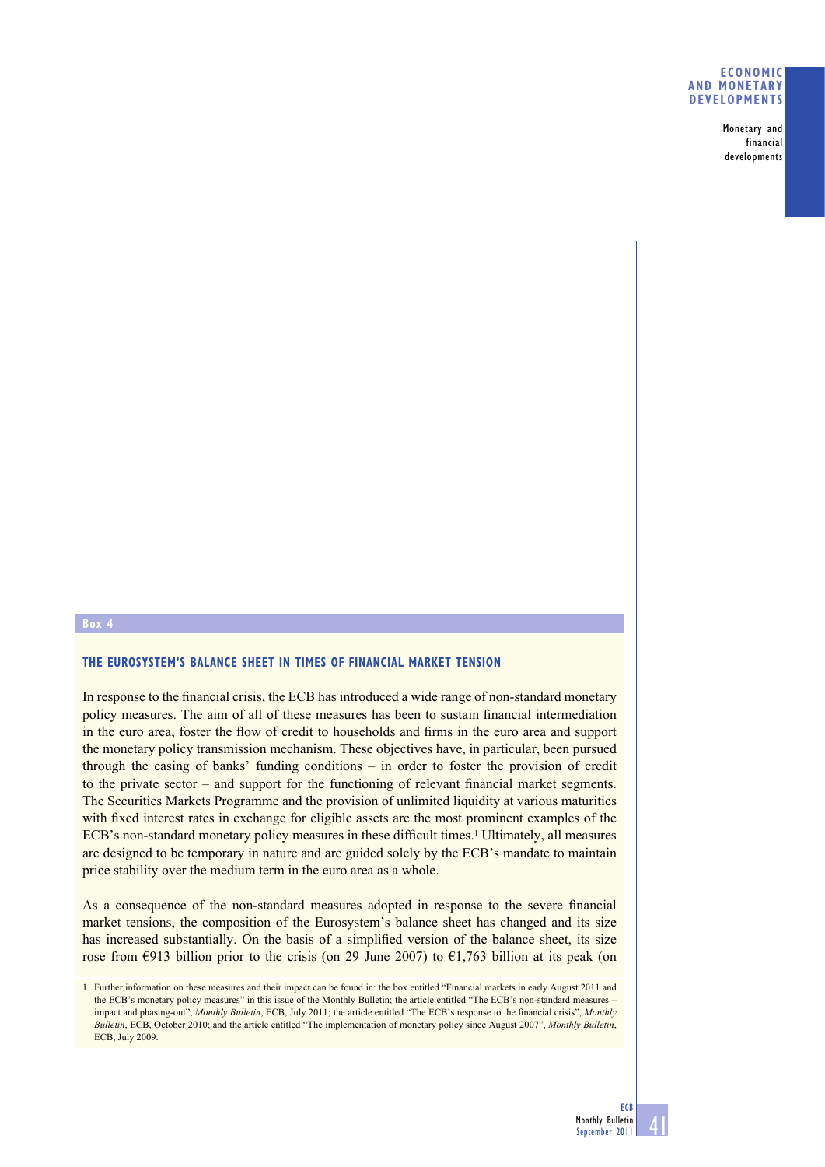## **ECONOMIC AND MONETARY DEVELOPMENTS**

**Monetary and financial developments**

## **Box 4**

## **THE EUROSYSTEM'S BALANCE SHEET IN TIMES OF FINANCIAL MARKET TENSION**

In response to the financial crisis, the ECB has introduced a wide range of non-standard monetary policy measures. The aim of all of these measures has been to sustain financial intermediation in the euro area, foster the flow of credit to households and firms in the euro area and support the monetary policy transmission mechanism. These objectives have, in particular, been pursued through the easing of banks' funding conditions – in order to foster the provision of credit to the private sector – and support for the functioning of relevant financial market segments. The Securities Markets Programme and the provision of unlimited liquidity at various maturities with fixed interest rates in exchange for eligible assets are the most prominent examples of the ECB's non-standard monetary policy measures in these difficult times.<sup>1</sup> Ultimately, all measures are designed to be temporary in nature and are guided solely by the ECB's mandate to maintain price stability over the medium term in the euro area as a whole.

As a consequence of the non-standard measures adopted in response to the severe financial market tensions, the composition of the Eurosystem's balance sheet has changed and its size has increased substantially. On the basis of a simplified version of the balance sheet, its size rose from  $\epsilon$ 913 billion prior to the crisis (on 29 June 2007) to  $\epsilon$ 1,763 billion at its peak (on

**41**

<sup>1</sup> Further information on these measures and their impact can be found in: the box entitled "Financial markets in early August 2011 and the ECB's monetary policy measures" in this issue of the Monthly Bulletin; the article entitled "The ECB's non-standard measures impact and phasing-out", *Monthly Bulletin*, ECB, July 2011; the article entitled "The ECB's response to the financial crisis", *Monthly Bulletin*, ECB, October 2010; and the article entitled "The implementation of monetary policy since August 2007", *Monthly Bulletin*, ECB, July 2009.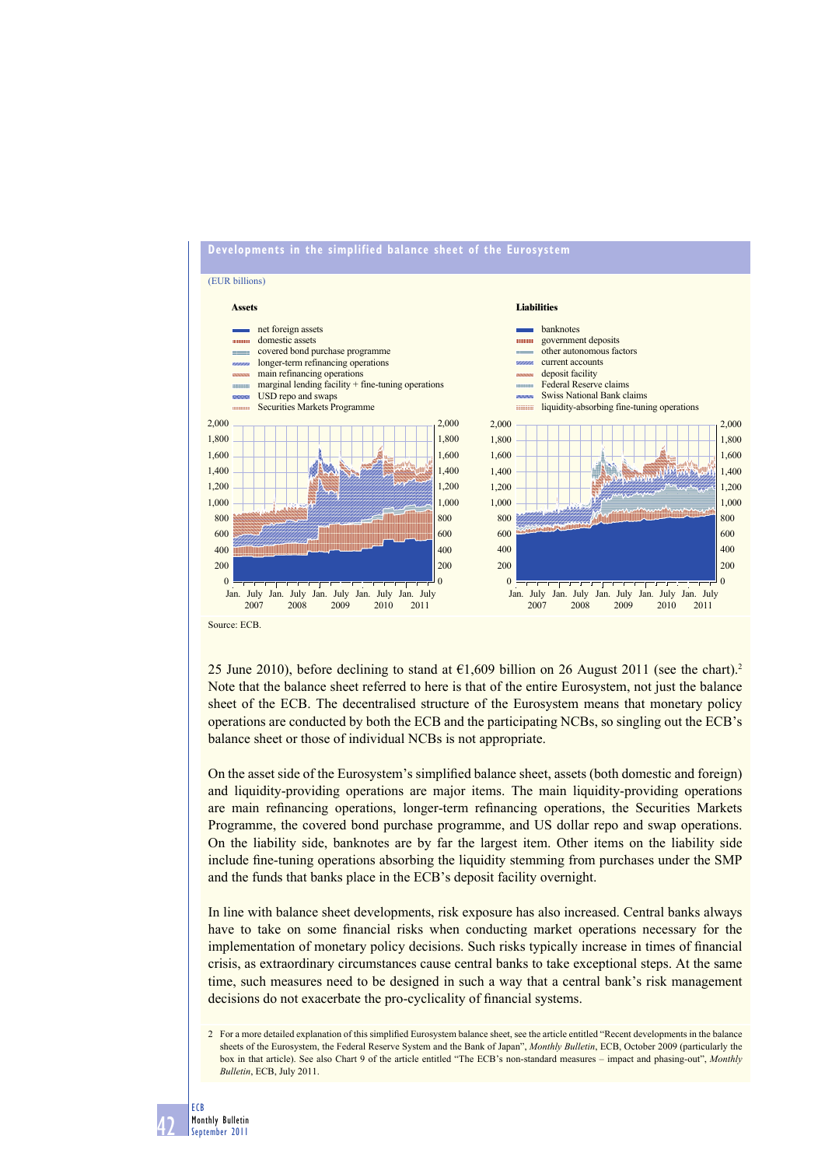

25 June 2010), before declining to stand at  $\epsilon$ 1,609 billion on 26 August 2011 (see the chart).<sup>2</sup> Note that the balance sheet referred to here is that of the entire Eurosystem, not just the balance sheet of the ECB. The decentralised structure of the Eurosystem means that monetary policy operations are conducted by both the ECB and the participating NCBs, so singling out the ECB's balance sheet or those of individual NCBs is not appropriate.

On the asset side of the Eurosystem's simplified balance sheet, assets (both domestic and foreign) and liquidity-providing operations are major items. The main liquidity-providing operations are main refinancing operations, longer-term refinancing operations, the Securities Markets Programme, the covered bond purchase programme, and US dollar repo and swap operations. On the liability side, banknotes are by far the largest item. Other items on the liability side include fine-tuning operations absorbing the liquidity stemming from purchases under the SMP and the funds that banks place in the ECB's deposit facility overnight.

In line with balance sheet developments, risk exposure has also increased. Central banks always have to take on some financial risks when conducting market operations necessary for the implementation of monetary policy decisions. Such risks typically increase in times of financial crisis, as extraordinary circumstances cause central banks to take exceptional steps. At the same time, such measures need to be designed in such a way that a central bank's risk management decisions do not exacerbate the pro-cyclicality of financial systems.

<sup>2</sup> For a more detailed explanation of this simplified Eurosystem balance sheet, see the article entitled "Recent developments in the balance sheets of the Eurosystem, the Federal Reserve System and the Bank of Japan", *Monthly Bulletin*, ECB, October 2009 (particularly the box in that article). See also Chart 9 of the article entitled "The ECB's non-standard measures – impact and phasing-out", *Monthly Bulletin*, ECB, July 2011.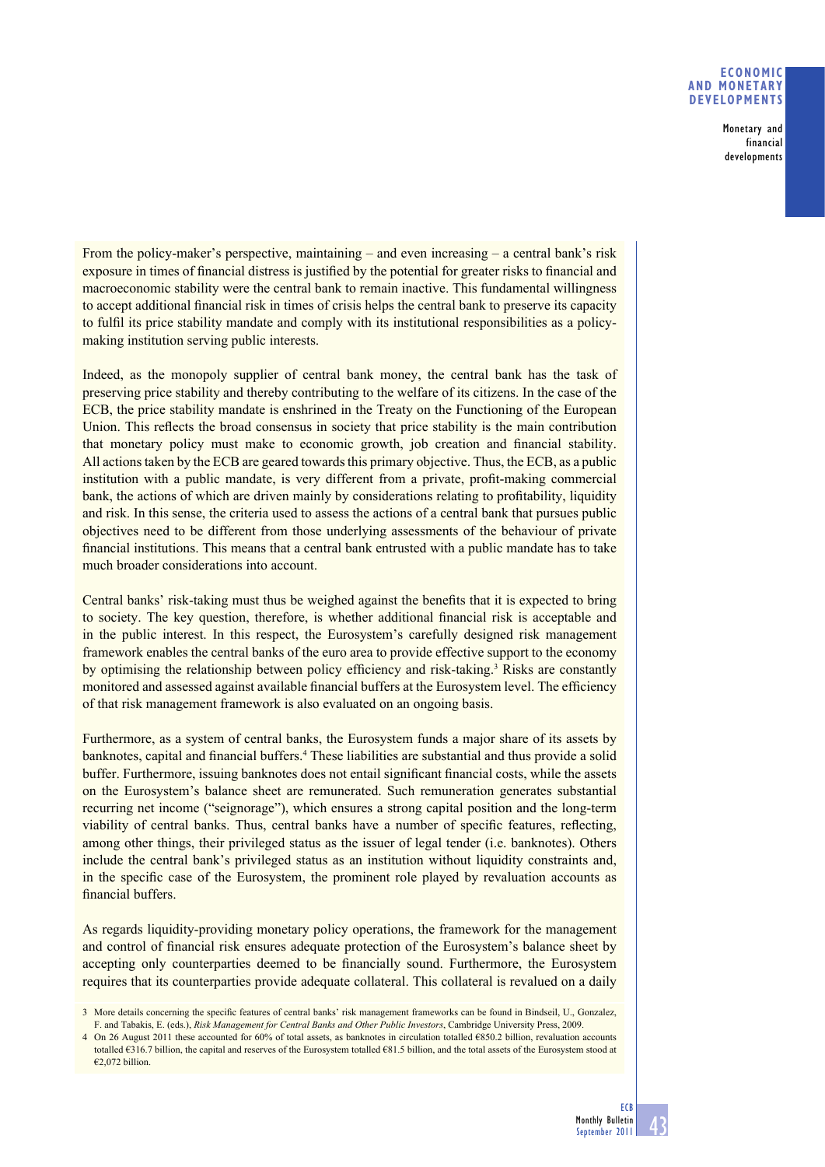## **ECONOMIC AND MONETARY DEVELOPMENTS**

**Monetary and financial developments**

From the policy-maker's perspective, maintaining  $-$  and even increasing  $-$  a central bank's risk exposure in times of financial distress is justified by the potential for greater risks to financial and macroeconomic stability were the central bank to remain inactive. This fundamental willingness to accept additional financial risk in times of crisis helps the central bank to preserve its capacity to fulfil its price stability mandate and comply with its institutional responsibilities as a policymaking institution serving public interests.

Indeed, as the monopoly supplier of central bank money, the central bank has the task of preserving price stability and thereby contributing to the welfare of its citizens. In the case of the ECB, the price stability mandate is enshrined in the Treaty on the Functioning of the European Union. This reflects the broad consensus in society that price stability is the main contribution that monetary policy must make to economic growth, job creation and financial stability. All actions taken by the ECB are geared towards this primary objective. Thus, the ECB, as a public institution with a public mandate, is very different from a private, profit-making commercial bank, the actions of which are driven mainly by considerations relating to profitability, liquidity and risk. In this sense, the criteria used to assess the actions of a central bank that pursues public objectives need to be different from those underlying assessments of the behaviour of private financial institutions. This means that a central bank entrusted with a public mandate has to take much broader considerations into account.

Central banks' risk-taking must thus be weighed against the benefits that it is expected to bring to society. The key question, therefore, is whether additional financial risk is acceptable and in the public interest. In this respect, the Eurosystem's carefully designed risk management framework enables the central banks of the euro area to provide effective support to the economy by optimising the relationship between policy efficiency and risk-taking.<sup>3</sup> Risks are constantly monitored and assessed against available financial buffers at the Eurosystem level. The efficiency of that risk management framework is also evaluated on an ongoing basis.

Furthermore, as a system of central banks, the Eurosystem funds a major share of its assets by banknotes, capital and financial buffers.<sup>4</sup> These liabilities are substantial and thus provide a solid buffer. Furthermore, issuing banknotes does not entail significant financial costs, while the assets on the Eurosystem's balance sheet are remunerated. Such remuneration generates substantial recurring net income ("seignorage"), which ensures a strong capital position and the long-term viability of central banks. Thus, central banks have a number of specific features, reflecting, among other things, their privileged status as the issuer of legal tender (i.e. banknotes). Others include the central bank's privileged status as an institution without liquidity constraints and, in the specific case of the Eurosystem, the prominent role played by revaluation accounts as financial buffers

As regards liquidity-providing monetary policy operations, the framework for the management and control of financial risk ensures adequate protection of the Eurosystem's balance sheet by accepting only counterparties deemed to be financially sound. Furthermore, the Eurosystem requires that its counterparties provide adequate collateral. This collateral is revalued on a daily

<sup>3</sup> More details concerning the specifi c features of central banks' risk management frameworks can be found in Bindseil, U., Gonzalez, F. and Tabakis, E. (eds.), *Risk Management for Central Banks and Other Public Investors*, Cambridge University Press, 2009.

<sup>4</sup> On 26 August 2011 these accounted for 60% of total assets, as banknotes in circulation totalled €850.2 billion, revaluation accounts totalled €316.7 billion, the capital and reserves of the Eurosystem totalled €81.5 billion, and the total assets of the Eurosystem stood at €2,072 billion.